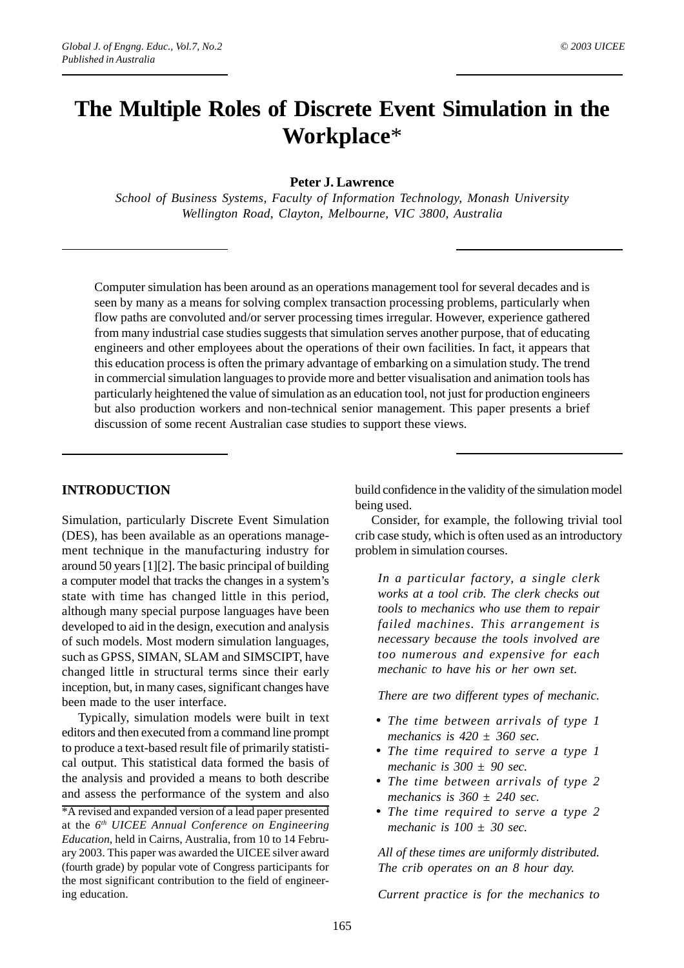# **The Multiple Roles of Discrete Event Simulation in the Workplace**\*

### **Peter J. Lawrence**

*School of Business Systems, Faculty of Information Technology, Monash University Wellington Road, Clayton, Melbourne, VIC 3800, Australia*

Computer simulation has been around as an operations management tool for several decades and is seen by many as a means for solving complex transaction processing problems, particularly when flow paths are convoluted and/or server processing times irregular. However, experience gathered from many industrial case studies suggests that simulation serves another purpose, that of educating engineers and other employees about the operations of their own facilities. In fact, it appears that this education process is often the primary advantage of embarking on a simulation study. The trend in commercial simulation languages to provide more and better visualisation and animation tools has particularly heightened the value of simulation as an education tool, not just for production engineers but also production workers and non-technical senior management. This paper presents a brief discussion of some recent Australian case studies to support these views.

### **INTRODUCTION**

Simulation, particularly Discrete Event Simulation (DES), has been available as an operations management technique in the manufacturing industry for around 50 years [1][2]. The basic principal of building a computer model that tracks the changes in a system's state with time has changed little in this period, although many special purpose languages have been developed to aid in the design, execution and analysis of such models. Most modern simulation languages, such as GPSS, SIMAN, SLAM and SIMSCIPT, have changed little in structural terms since their early inception, but, in many cases, significant changes have been made to the user interface.

Typically, simulation models were built in text editors and then executed from a command line prompt to produce a text-based result file of primarily statistical output. This statistical data formed the basis of the analysis and provided a means to both describe and assess the performance of the system and also

build confidence in the validity of the simulation model being used.

Consider, for example, the following trivial tool crib case study, which is often used as an introductory problem in simulation courses.

*In a particular factory, a single clerk works at a tool crib. The clerk checks out tools to mechanics who use them to repair failed machines. This arrangement is necessary because the tools involved are too numerous and expensive for each mechanic to have his or her own set.*

*There are two different types of mechanic.*

- *The time between arrivals of type 1 mechanics is 420 ± 360 sec.*
- *The time required to serve a type 1 mechanic is 300 ± 90 sec.*
- *The time between arrivals of type 2 mechanics is 360 ± 240 sec.*
- *The time required to serve a type 2 mechanic is 100 ± 30 sec.*

*All of these times are uniformly distributed. The crib operates on an 8 hour day.*

*Current practice is for the mechanics to*

<sup>\*</sup>A revised and expanded version of a lead paper presented at the *6th UICEE Annual Conference on Engineering Education*, held in Cairns, Australia, from 10 to 14 February 2003. This paper was awarded the UICEE silver award (fourth grade) by popular vote of Congress participants for the most significant contribution to the field of engineering education.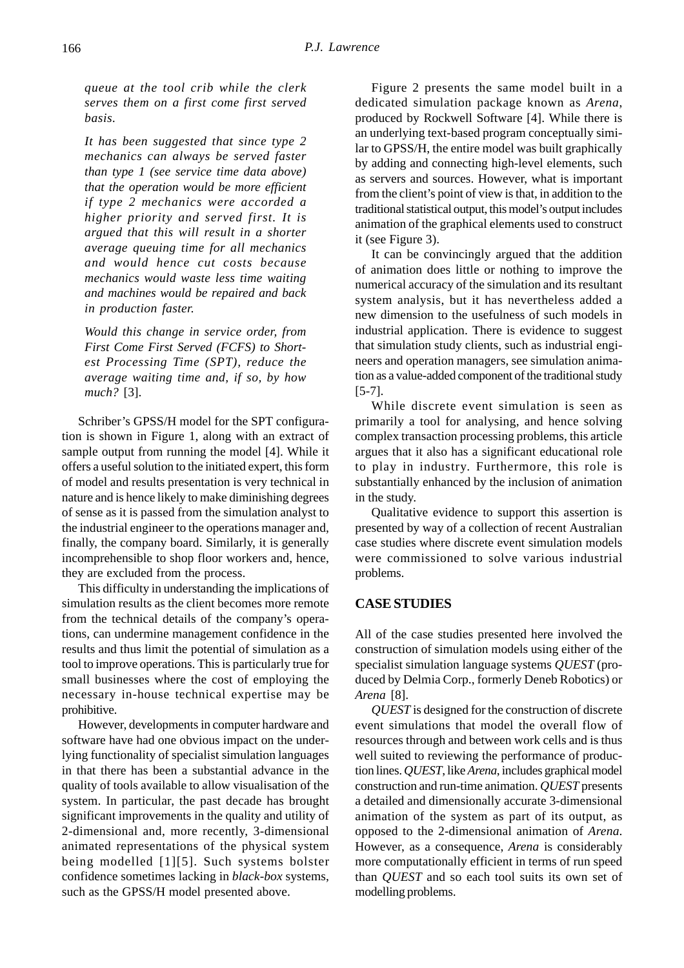*queue at the tool crib while the clerk serves them on a first come first served basis.*

*It has been suggested that since type 2 mechanics can always be served faster than type 1 (see service time data above) that the operation would be more efficient if type 2 mechanics were accorded a higher priority and served first. It is argued that this will result in a shorter average queuing time for all mechanics and would hence cut costs because mechanics would waste less time waiting and machines would be repaired and back in production faster.*

*Would this change in service order, from First Come First Served (FCFS) to Shortest Processing Time (SPT), reduce the average waiting time and, if so, by how much?* [3].

Schriber's GPSS/H model for the SPT configuration is shown in Figure 1, along with an extract of sample output from running the model [4]. While it offers a useful solution to the initiated expert, this form of model and results presentation is very technical in nature and is hence likely to make diminishing degrees of sense as it is passed from the simulation analyst to the industrial engineer to the operations manager and, finally, the company board. Similarly, it is generally incomprehensible to shop floor workers and, hence, they are excluded from the process.

This difficulty in understanding the implications of simulation results as the client becomes more remote from the technical details of the company's operations, can undermine management confidence in the results and thus limit the potential of simulation as a tool to improve operations. This is particularly true for small businesses where the cost of employing the necessary in-house technical expertise may be prohibitive.

However, developments in computer hardware and software have had one obvious impact on the underlying functionality of specialist simulation languages in that there has been a substantial advance in the quality of tools available to allow visualisation of the system. In particular, the past decade has brought significant improvements in the quality and utility of 2-dimensional and, more recently, 3-dimensional animated representations of the physical system being modelled [1][5]. Such systems bolster confidence sometimes lacking in *black-box* systems, such as the GPSS/H model presented above.

Figure 2 presents the same model built in a dedicated simulation package known as *Arena*, produced by Rockwell Software [4]. While there is an underlying text-based program conceptually similar to GPSS/H, the entire model was built graphically by adding and connecting high-level elements, such as servers and sources. However, what is important from the client's point of view is that, in addition to the traditional statistical output, this model's output includes animation of the graphical elements used to construct it (see Figure 3).

It can be convincingly argued that the addition of animation does little or nothing to improve the numerical accuracy of the simulation and its resultant system analysis, but it has nevertheless added a new dimension to the usefulness of such models in industrial application. There is evidence to suggest that simulation study clients, such as industrial engineers and operation managers, see simulation animation as a value-added component of the traditional study [5-7].

While discrete event simulation is seen as primarily a tool for analysing, and hence solving complex transaction processing problems, this article argues that it also has a significant educational role to play in industry. Furthermore, this role is substantially enhanced by the inclusion of animation in the study.

Qualitative evidence to support this assertion is presented by way of a collection of recent Australian case studies where discrete event simulation models were commissioned to solve various industrial problems.

### **CASE STUDIES**

All of the case studies presented here involved the construction of simulation models using either of the specialist simulation language systems *QUEST* (produced by Delmia Corp., formerly Deneb Robotics) or *Arena* [8].

*QUEST* is designed for the construction of discrete event simulations that model the overall flow of resources through and between work cells and is thus well suited to reviewing the performance of production lines. *QUEST*, like *Arena*, includes graphical model construction and run-time animation. *QUEST* presents a detailed and dimensionally accurate 3-dimensional animation of the system as part of its output, as opposed to the 2-dimensional animation of *Arena*. However, as a consequence, *Arena* is considerably more computationally efficient in terms of run speed than *QUEST* and so each tool suits its own set of modelling problems.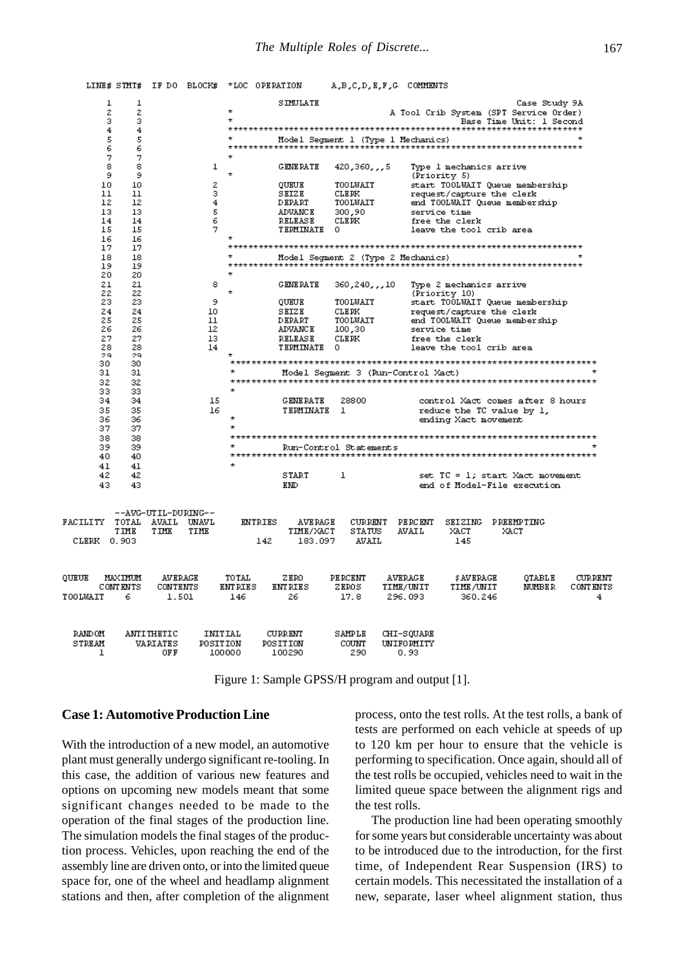

Figure 1: Sample GPSS/H program and output [1].

#### **Case 1: Automotive Production Line**

With the introduction of a new model, an automotive plant must generally undergo significant re-tooling. In this case, the addition of various new features and options on upcoming new models meant that some significant changes needed to be made to the operation of the final stages of the production line. The simulation models the final stages of the production process. Vehicles, upon reaching the end of the assembly line are driven onto, or into the limited queue space for, one of the wheel and headlamp alignment stations and then, after completion of the alignment process, onto the test rolls. At the test rolls, a bank of tests are performed on each vehicle at speeds of up to 120 km per hour to ensure that the vehicle is performing to specification. Once again, should all of the test rolls be occupied, vehicles need to wait in the limited queue space between the alignment rigs and the test rolls.

The production line had been operating smoothly for some years but considerable uncertainty was about to be introduced due to the introduction, for the first time, of Independent Rear Suspension (IRS) to certain models. This necessitated the installation of a new, separate, laser wheel alignment station, thus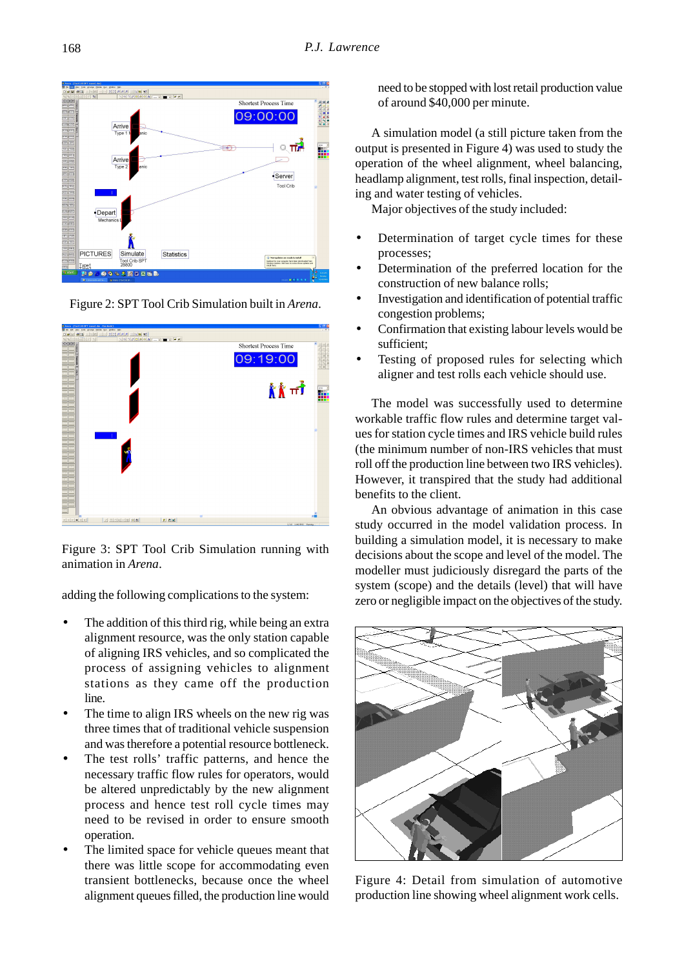

Figure 2: SPT Tool Crib Simulation built in *Arena*.



Figure 3: SPT Tool Crib Simulation running with animation in *Arena*.

adding the following complications to the system:

- The addition of this third rig, while being an extra alignment resource, was the only station capable of aligning IRS vehicles, and so complicated the process of assigning vehicles to alignment stations as they came off the production line.
- The time to align IRS wheels on the new rig was three times that of traditional vehicle suspension and was therefore a potential resource bottleneck.
- The test rolls' traffic patterns, and hence the necessary traffic flow rules for operators, would be altered unpredictably by the new alignment process and hence test roll cycle times may need to be revised in order to ensure smooth operation.
- The limited space for vehicle queues meant that there was little scope for accommodating even transient bottlenecks, because once the wheel alignment queues filled, the production line would

need to be stopped with lost retail production value of around \$40,000 per minute.

A simulation model (a still picture taken from the output is presented in Figure 4) was used to study the operation of the wheel alignment, wheel balancing, headlamp alignment, test rolls, final inspection, detailing and water testing of vehicles.

Major objectives of the study included:

- Determination of target cycle times for these processes;
- Determination of the preferred location for the construction of new balance rolls;
- Investigation and identification of potential traffic congestion problems;
- Confirmation that existing labour levels would be sufficient;
- Testing of proposed rules for selecting which aligner and test rolls each vehicle should use.

The model was successfully used to determine workable traffic flow rules and determine target values for station cycle times and IRS vehicle build rules (the minimum number of non-IRS vehicles that must roll off the production line between two IRS vehicles). However, it transpired that the study had additional benefits to the client.

An obvious advantage of animation in this case study occurred in the model validation process. In building a simulation model, it is necessary to make decisions about the scope and level of the model. The modeller must judiciously disregard the parts of the system (scope) and the details (level) that will have zero or negligible impact on the objectives of the study.



Figure 4: Detail from simulation of automotive production line showing wheel alignment work cells.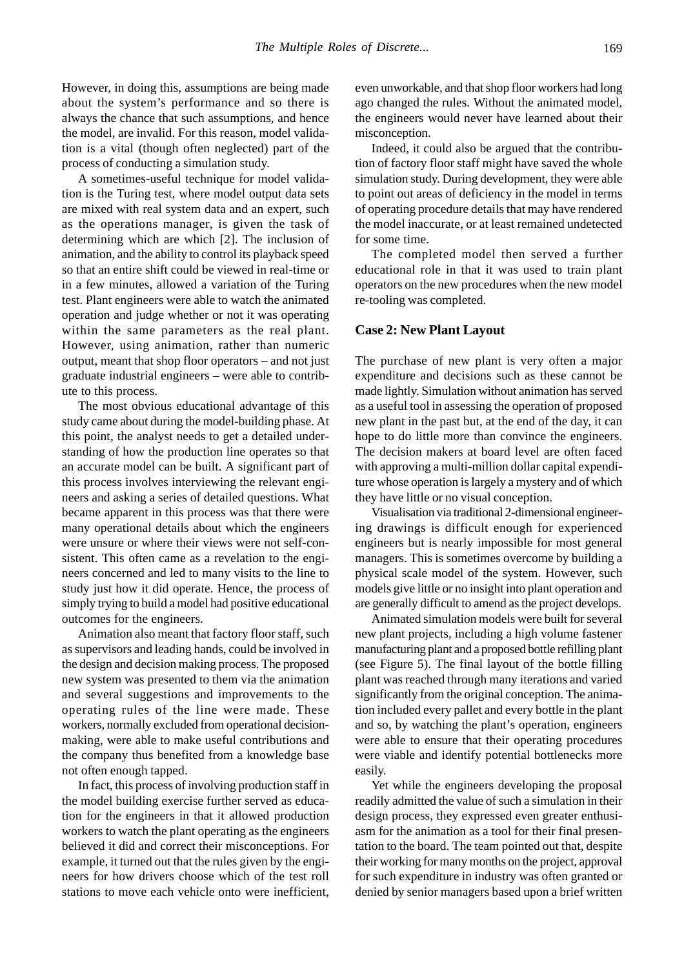However, in doing this, assumptions are being made about the system's performance and so there is always the chance that such assumptions, and hence the model, are invalid. For this reason, model validation is a vital (though often neglected) part of the process of conducting a simulation study.

A sometimes-useful technique for model validation is the Turing test, where model output data sets are mixed with real system data and an expert, such as the operations manager, is given the task of determining which are which [2]. The inclusion of animation, and the ability to control its playback speed so that an entire shift could be viewed in real-time or in a few minutes, allowed a variation of the Turing test. Plant engineers were able to watch the animated operation and judge whether or not it was operating within the same parameters as the real plant. However, using animation, rather than numeric output, meant that shop floor operators – and not just graduate industrial engineers – were able to contribute to this process.

The most obvious educational advantage of this study came about during the model-building phase. At this point, the analyst needs to get a detailed understanding of how the production line operates so that an accurate model can be built. A significant part of this process involves interviewing the relevant engineers and asking a series of detailed questions. What became apparent in this process was that there were many operational details about which the engineers were unsure or where their views were not self-consistent. This often came as a revelation to the engineers concerned and led to many visits to the line to study just how it did operate. Hence, the process of simply trying to build a model had positive educational outcomes for the engineers.

Animation also meant that factory floor staff, such as supervisors and leading hands, could be involved in the design and decision making process. The proposed new system was presented to them via the animation and several suggestions and improvements to the operating rules of the line were made. These workers, normally excluded from operational decisionmaking, were able to make useful contributions and the company thus benefited from a knowledge base not often enough tapped.

In fact, this process of involving production staff in the model building exercise further served as education for the engineers in that it allowed production workers to watch the plant operating as the engineers believed it did and correct their misconceptions. For example, it turned out that the rules given by the engineers for how drivers choose which of the test roll stations to move each vehicle onto were inefficient,

even unworkable, and that shop floor workers had long ago changed the rules. Without the animated model, the engineers would never have learned about their misconception.

Indeed, it could also be argued that the contribution of factory floor staff might have saved the whole simulation study. During development, they were able to point out areas of deficiency in the model in terms of operating procedure details that may have rendered the model inaccurate, or at least remained undetected for some time.

The completed model then served a further educational role in that it was used to train plant operators on the new procedures when the new model re-tooling was completed.

#### **Case 2: New Plant Layout**

The purchase of new plant is very often a major expenditure and decisions such as these cannot be made lightly. Simulation without animation has served as a useful tool in assessing the operation of proposed new plant in the past but, at the end of the day, it can hope to do little more than convince the engineers. The decision makers at board level are often faced with approving a multi-million dollar capital expenditure whose operation is largely a mystery and of which they have little or no visual conception.

Visualisation via traditional 2-dimensional engineering drawings is difficult enough for experienced engineers but is nearly impossible for most general managers. This is sometimes overcome by building a physical scale model of the system. However, such models give little or no insight into plant operation and are generally difficult to amend as the project develops.

Animated simulation models were built for several new plant projects, including a high volume fastener manufacturing plant and a proposed bottle refilling plant (see Figure 5). The final layout of the bottle filling plant was reached through many iterations and varied significantly from the original conception. The animation included every pallet and every bottle in the plant and so, by watching the plant's operation, engineers were able to ensure that their operating procedures were viable and identify potential bottlenecks more easily.

Yet while the engineers developing the proposal readily admitted the value of such a simulation in their design process, they expressed even greater enthusiasm for the animation as a tool for their final presentation to the board. The team pointed out that, despite their working for many months on the project, approval for such expenditure in industry was often granted or denied by senior managers based upon a brief written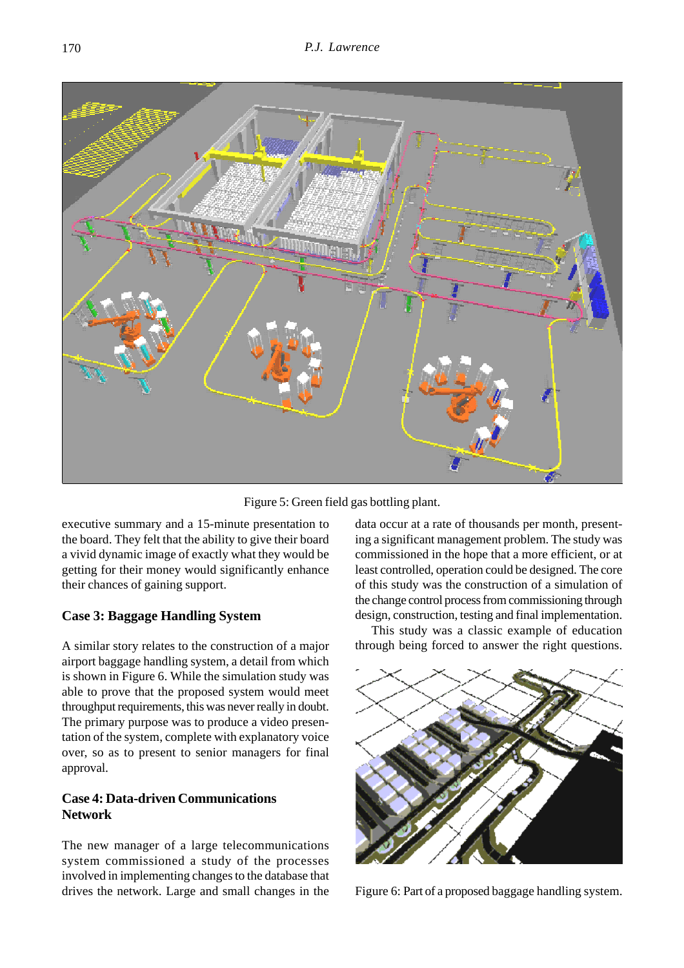

Figure 5: Green field gas bottling plant.

executive summary and a 15-minute presentation to the board. They felt that the ability to give their board a vivid dynamic image of exactly what they would be getting for their money would significantly enhance their chances of gaining support.

# **Case 3: Baggage Handling System**

A similar story relates to the construction of a major airport baggage handling system, a detail from which is shown in Figure 6. While the simulation study was able to prove that the proposed system would meet throughput requirements, this was never really in doubt. The primary purpose was to produce a video presentation of the system, complete with explanatory voice over, so as to present to senior managers for final approval.

# **Case 4: Data-driven Communications Network**

The new manager of a large telecommunications system commissioned a study of the processes involved in implementing changes to the database that drives the network. Large and small changes in the data occur at a rate of thousands per month, presenting a significant management problem. The study was commissioned in the hope that a more efficient, or at least controlled, operation could be designed. The core of this study was the construction of a simulation of the change control process from commissioning through design, construction, testing and final implementation.

This study was a classic example of education through being forced to answer the right questions.



Figure 6: Part of a proposed baggage handling system.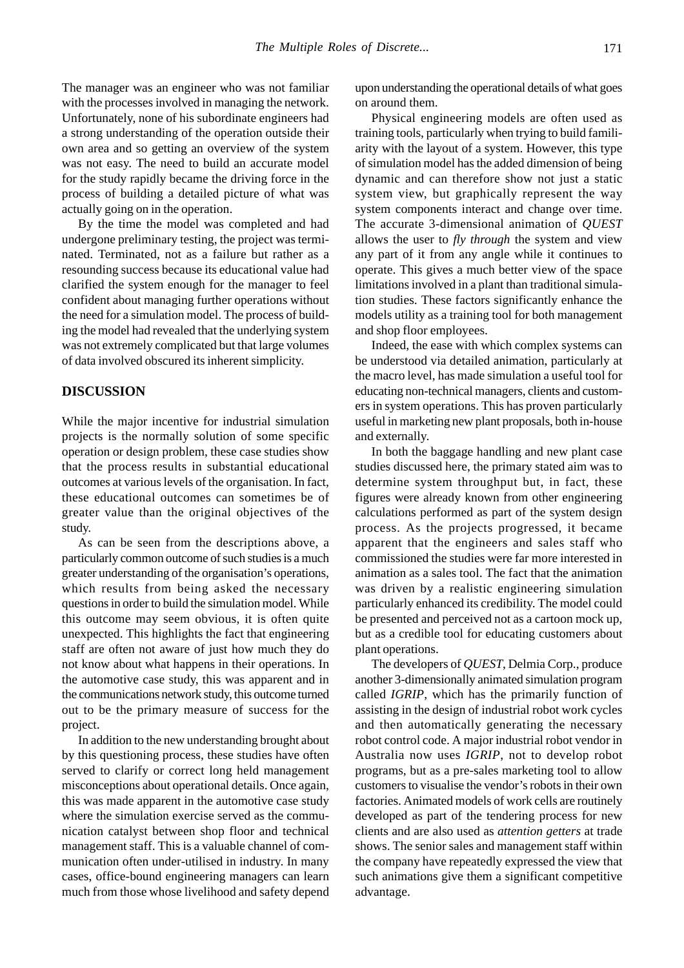The manager was an engineer who was not familiar with the processes involved in managing the network. Unfortunately, none of his subordinate engineers had a strong understanding of the operation outside their own area and so getting an overview of the system was not easy. The need to build an accurate model for the study rapidly became the driving force in the process of building a detailed picture of what was actually going on in the operation.

By the time the model was completed and had undergone preliminary testing, the project was terminated. Terminated, not as a failure but rather as a resounding success because its educational value had clarified the system enough for the manager to feel confident about managing further operations without the need for a simulation model. The process of building the model had revealed that the underlying system was not extremely complicated but that large volumes of data involved obscured its inherent simplicity.

#### **DISCUSSION**

While the major incentive for industrial simulation projects is the normally solution of some specific operation or design problem, these case studies show that the process results in substantial educational outcomes at various levels of the organisation. In fact, these educational outcomes can sometimes be of greater value than the original objectives of the study.

As can be seen from the descriptions above, a particularly common outcome of such studies is a much greater understanding of the organisation's operations, which results from being asked the necessary questions in order to build the simulation model. While this outcome may seem obvious, it is often quite unexpected. This highlights the fact that engineering staff are often not aware of just how much they do not know about what happens in their operations. In the automotive case study, this was apparent and in the communications network study, this outcome turned out to be the primary measure of success for the project.

In addition to the new understanding brought about by this questioning process, these studies have often served to clarify or correct long held management misconceptions about operational details. Once again, this was made apparent in the automotive case study where the simulation exercise served as the communication catalyst between shop floor and technical management staff. This is a valuable channel of communication often under-utilised in industry. In many cases, office-bound engineering managers can learn much from those whose livelihood and safety depend upon understanding the operational details of what goes on around them.

Physical engineering models are often used as training tools, particularly when trying to build familiarity with the layout of a system. However, this type of simulation model has the added dimension of being dynamic and can therefore show not just a static system view, but graphically represent the way system components interact and change over time. The accurate 3-dimensional animation of *QUEST* allows the user to *fly through* the system and view any part of it from any angle while it continues to operate. This gives a much better view of the space limitations involved in a plant than traditional simulation studies. These factors significantly enhance the models utility as a training tool for both management and shop floor employees.

Indeed, the ease with which complex systems can be understood via detailed animation, particularly at the macro level, has made simulation a useful tool for educating non-technical managers, clients and customers in system operations. This has proven particularly useful in marketing new plant proposals, both in-house and externally.

In both the baggage handling and new plant case studies discussed here, the primary stated aim was to determine system throughput but, in fact, these figures were already known from other engineering calculations performed as part of the system design process. As the projects progressed, it became apparent that the engineers and sales staff who commissioned the studies were far more interested in animation as a sales tool. The fact that the animation was driven by a realistic engineering simulation particularly enhanced its credibility. The model could be presented and perceived not as a cartoon mock up, but as a credible tool for educating customers about plant operations.

The developers of *QUEST*, Delmia Corp., produce another 3-dimensionally animated simulation program called *IGRIP*, which has the primarily function of assisting in the design of industrial robot work cycles and then automatically generating the necessary robot control code. A major industrial robot vendor in Australia now uses *IGRIP*, not to develop robot programs, but as a pre-sales marketing tool to allow customers to visualise the vendor's robots in their own factories. Animated models of work cells are routinely developed as part of the tendering process for new clients and are also used as *attention getters* at trade shows. The senior sales and management staff within the company have repeatedly expressed the view that such animations give them a significant competitive advantage.